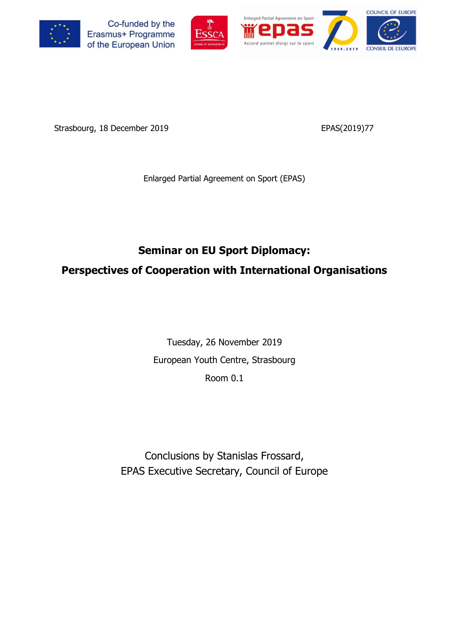







Strasbourg, 18 December 2019 **EPAS**(2019)77

Enlarged Partial Agreement on Sport (EPAS)

# **Seminar on EU Sport Diplomacy: Perspectives of Cooperation with International Organisations**

Tuesday, 26 November 2019 European Youth Centre, Strasbourg Room 0.1

Conclusions by Stanislas Frossard, EPAS Executive Secretary, Council of Europe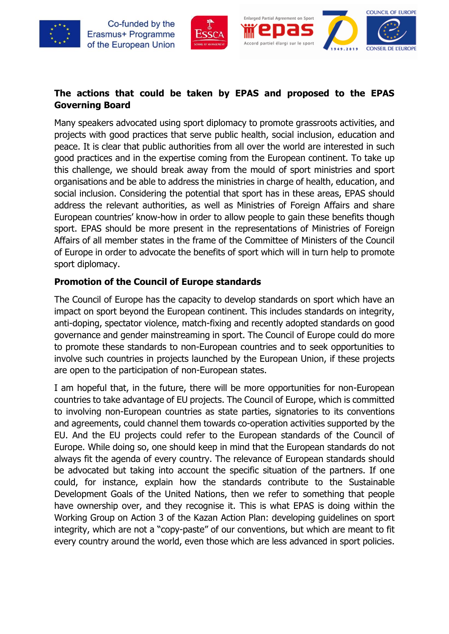





### **The actions that could be taken by EPAS and proposed to the EPAS Governing Board**

Many speakers advocated using sport diplomacy to promote grassroots activities, and projects with good practices that serve public health, social inclusion, education and peace. It is clear that public authorities from all over the world are interested in such good practices and in the expertise coming from the European continent. To take up this challenge, we should break away from the mould of sport ministries and sport organisations and be able to address the ministries in charge of health, education, and social inclusion. Considering the potential that sport has in these areas, EPAS should address the relevant authorities, as well as Ministries of Foreign Affairs and share European countries' know-how in order to allow people to gain these benefits though sport. EPAS should be more present in the representations of Ministries of Foreign Affairs of all member states in the frame of the Committee of Ministers of the Council of Europe in order to advocate the benefits of sport which will in turn help to promote sport diplomacy.

### **Promotion of the Council of Europe standards**

The Council of Europe has the capacity to develop standards on sport which have an impact on sport beyond the European continent. This includes standards on integrity, anti-doping, spectator violence, match-fixing and recently adopted standards on good governance and gender mainstreaming in sport. The Council of Europe could do more to promote these standards to non-European countries and to seek opportunities to involve such countries in projects launched by the European Union, if these projects are open to the participation of non-European states.

I am hopeful that, in the future, there will be more opportunities for non-European countries to take advantage of EU projects. The Council of Europe, which is committed to involving non-European countries as state parties, signatories to its conventions and agreements, could channel them towards co-operation activities supported by the EU. And the EU projects could refer to the European standards of the Council of Europe. While doing so, one should keep in mind that the European standards do not always fit the agenda of every country. The relevance of European standards should be advocated but taking into account the specific situation of the partners. If one could, for instance, explain how the standards contribute to the Sustainable Development Goals of the United Nations, then we refer to something that people have ownership over, and they recognise it. This is what EPAS is doing within the Working Group on Action 3 of the Kazan Action Plan: developing guidelines on sport integrity, which are not a "copy-paste" of our conventions, but which are meant to fit every country around the world, even those which are less advanced in sport policies.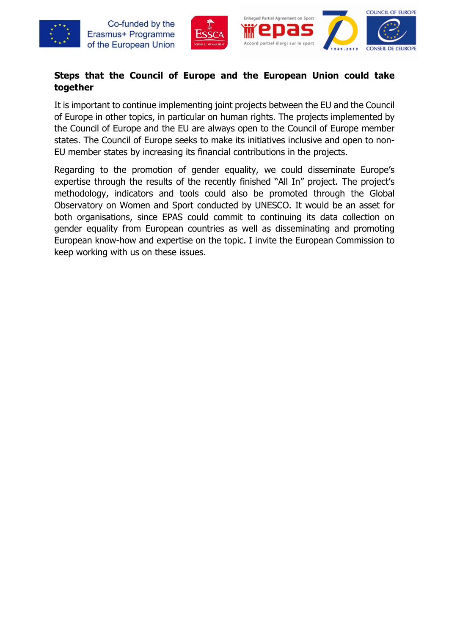



### **Steps that the Council of Europe and the European Union could take together**

It is important to continue implementing joint projects between the EU and the Council of Europe in other topics, in particular on human rights. The projects implemented by the Council of Europe and the EU are always open to the Council of Europe member states. The Council of Europe seeks to make its initiatives inclusive and open to non-EU member states by increasing its financial contributions in the projects.

Regarding to the promotion of gender equality, we could disseminate Europe's expertise through the results of the recently finished "All In" project. The project's methodology, indicators and tools could also be promoted through the Global Observatory on Women and Sport conducted by UNESCO. It would be an asset for both organisations, since EPAS could commit to continuing its data collection on gender equality from European countries as well as disseminating and promoting European know-how and expertise on the topic. I invite the European Commission to keep working with us on these issues.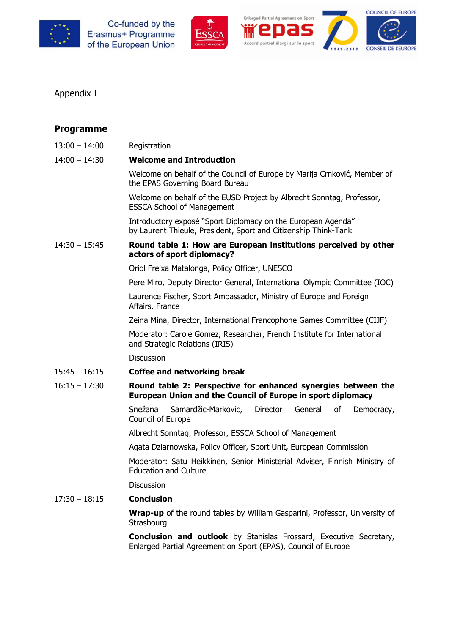







### Appendix I

| <b>Programme</b> |                                                                                                                                            |  |  |  |  |  |  |
|------------------|--------------------------------------------------------------------------------------------------------------------------------------------|--|--|--|--|--|--|
| $13:00 - 14:00$  | Registration                                                                                                                               |  |  |  |  |  |  |
| $14:00 - 14:30$  | <b>Welcome and Introduction</b>                                                                                                            |  |  |  |  |  |  |
|                  | Welcome on behalf of the Council of Europe by Marija Crnković, Member of<br>the EPAS Governing Board Bureau                                |  |  |  |  |  |  |
|                  | Welcome on behalf of the EUSD Project by Albrecht Sonntag, Professor,<br><b>ESSCA School of Management</b>                                 |  |  |  |  |  |  |
|                  | Introductory exposé "Sport Diplomacy on the European Agenda"<br>by Laurent Thieule, President, Sport and Citizenship Think-Tank            |  |  |  |  |  |  |
| $14:30 - 15:45$  | Round table 1: How are European institutions perceived by other<br>actors of sport diplomacy?                                              |  |  |  |  |  |  |
|                  | Oriol Freixa Matalonga, Policy Officer, UNESCO                                                                                             |  |  |  |  |  |  |
|                  | Pere Miro, Deputy Director General, International Olympic Committee (IOC)                                                                  |  |  |  |  |  |  |
|                  | Laurence Fischer, Sport Ambassador, Ministry of Europe and Foreign<br>Affairs, France                                                      |  |  |  |  |  |  |
|                  | Zeina Mina, Director, International Francophone Games Committee (CIJF)                                                                     |  |  |  |  |  |  |
|                  | Moderator: Carole Gomez, Researcher, French Institute for International<br>and Strategic Relations (IRIS)                                  |  |  |  |  |  |  |
|                  | <b>Discussion</b>                                                                                                                          |  |  |  |  |  |  |
| $15:45 - 16:15$  | <b>Coffee and networking break</b>                                                                                                         |  |  |  |  |  |  |
| $16:15 - 17:30$  | Round table 2: Perspective for enhanced synergies between the<br><b>European Union and the Council of Europe in sport diplomacy</b>        |  |  |  |  |  |  |
|                  | Snežana<br>Samardžic-Markovic,<br>Director<br>General<br>οf<br>Democracy,<br>Council of Europe                                             |  |  |  |  |  |  |
|                  | Albrecht Sonntag, Professor, ESSCA School of Management                                                                                    |  |  |  |  |  |  |
|                  | Agata Dziarnowska, Policy Officer, Sport Unit, European Commission                                                                         |  |  |  |  |  |  |
|                  | Moderator: Satu Heikkinen, Senior Ministerial Adviser, Finnish Ministry of<br><b>Education and Culture</b>                                 |  |  |  |  |  |  |
|                  | <b>Discussion</b>                                                                                                                          |  |  |  |  |  |  |
| $17:30 - 18:15$  | <b>Conclusion</b>                                                                                                                          |  |  |  |  |  |  |
|                  | <b>Wrap-up</b> of the round tables by William Gasparini, Professor, University of<br>Strasbourg                                            |  |  |  |  |  |  |
|                  | <b>Conclusion and outlook</b> by Stanislas Frossard, Executive Secretary,<br>Enlarged Partial Agreement on Sport (EPAS), Council of Europe |  |  |  |  |  |  |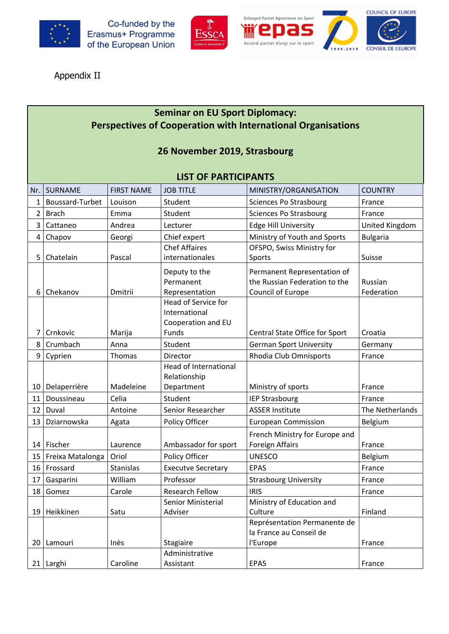







Appendix II

### **Seminar on EU Sport Diplomacy: Perspectives of Cooperation with International Organisations**

### **26 November 2019, Strasbourg**

#### **LIST OF PARTICIPANTS**

| Nr.             | <b>SURNAME</b>   | <b>FIRST NAME</b> | <b>JOB TITLE</b>             | MINISTRY/ORGANISATION          | <b>COUNTRY</b>  |
|-----------------|------------------|-------------------|------------------------------|--------------------------------|-----------------|
| $\mathbf{1}$    | Boussard-Turbet  | Louison           | Student                      | <b>Sciences Po Strasbourg</b>  | France          |
| $\overline{2}$  | <b>Brach</b>     | Emma              | Student                      | <b>Sciences Po Strasbourg</b>  | France          |
| 3               | Cattaneo         | Andrea            | Lecturer                     | <b>Edge Hill University</b>    | United Kingdom  |
| $\overline{4}$  | Chapov           | Georgi            | Chief expert                 | Ministry of Youth and Sports   | <b>Bulgaria</b> |
|                 |                  |                   | <b>Chef Affaires</b>         | OFSPO, Swiss Ministry for      |                 |
| 5               | Chatelain        | Pascal            | internationales              | Sports                         | Suisse          |
|                 |                  |                   | Deputy to the                | Permanent Representation of    |                 |
|                 |                  |                   | Permanent                    | the Russian Federation to the  | Russian         |
| 6               | Chekanov         | Dmitrii           | Representation               | Council of Europe              | Federation      |
|                 |                  |                   | Head of Service for          |                                |                 |
|                 |                  |                   | International                |                                |                 |
|                 |                  |                   | Cooperation and EU           |                                |                 |
| 7               | Crnkovic         | Marija            | Funds                        | Central State Office for Sport | Croatia         |
| 8               | Crumbach         | Anna              | Student                      | <b>German Sport University</b> | Germany         |
| 9               | Cyprien          | Thomas            | Director                     | Rhodia Club Omnisports         | France          |
|                 |                  |                   | <b>Head of International</b> |                                |                 |
|                 |                  |                   | Relationship                 |                                |                 |
| 10 I            | Delaperrière     | Madeleine         | Department                   | Ministry of sports             | France          |
| 11              | Doussineau       | Celia             | Student                      | <b>IEP Strasbourg</b>          | France          |
| 12              | Duval            | Antoine           | Senior Researcher            | <b>ASSER Institute</b>         | The Netherlands |
| 13              | Dziarnowska      | Agata             | Policy Officer               | <b>European Commission</b>     | Belgium         |
|                 |                  |                   |                              | French Ministry for Europe and |                 |
| 14              | Fischer          | Laurence          | Ambassador for sport         | <b>Foreign Affairs</b>         | France          |
| 15 <sub>1</sub> | Freixa Matalonga | Oriol             | Policy Officer               | <b>UNESCO</b>                  | Belgium         |
| 16              | Frossard         | <b>Stanislas</b>  | <b>Executve Secretary</b>    | <b>EPAS</b>                    | France          |
| 17              | Gasparini        | William           | Professor                    | <b>Strasbourg University</b>   | France          |
| 18              | Gomez            | Carole            | <b>Research Fellow</b>       | <b>IRIS</b>                    | France          |
|                 |                  |                   | Senior Ministerial           | Ministry of Education and      |                 |
| 19              | Heikkinen        | Satu              | Adviser                      | Culture                        | Finland         |
|                 |                  |                   |                              | Représentation Permanente de   |                 |
|                 |                  |                   |                              | la France au Conseil de        |                 |
| 20 I            | Lamouri          | Inès              | Stagiaire                    | l'Europe                       | France          |
|                 |                  |                   | Administrative               |                                |                 |
|                 | 21 Larghi        | Caroline          | Assistant                    | <b>EPAS</b>                    | France          |